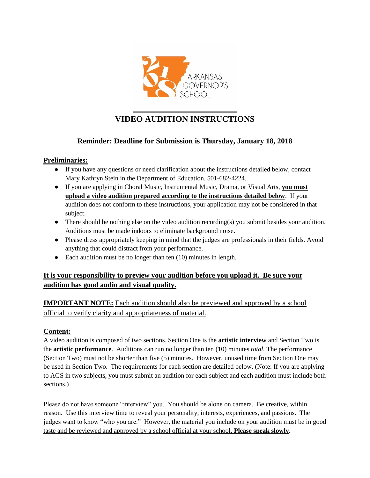

# **VIDEO AUDITION INSTRUCTIONS**

### **Reminder: Deadline for Submission is Thursday, January 18, 2018**

### **Preliminaries:**

- If you have any questions or need clarification about the instructions detailed below, contact Mary Kathryn Stein in the Department of Education, 501-682-4224.
- If you are applying in Choral Music, Instrumental Music, Drama, or Visual Arts, **you must upload a video audition prepared according to the instructions detailed below**. If your audition does not conform to these instructions, your application may not be considered in that subject.
- There should be nothing else on the video audition recording(s) you submit besides your audition. Auditions must be made indoors to eliminate background noise.
- Please dress appropriately keeping in mind that the judges are professionals in their fields. Avoid anything that could distract from your performance.
- Each audition must be no longer than ten (10) minutes in length.

### **It is your responsibility to preview your audition before you upload it. Be sure your audition has good audio and visual quality.**

**IMPORTANT NOTE:** Each audition should also be previewed and approved by a school official to verify clarity and appropriateness of material.

### **Content:**

A video audition is composed of two sections. Section One is the **artistic interview** and Section Two is the **artistic performance**. Auditions can run no longer than ten (10) minutes *total.* The performance (Section Two) must not be shorter than five (5) minutes. However, unused time from Section One may be used in Section Two. The requirements for each section are detailed below. (Note: If you are applying to AGS in two subjects, you must submit an audition for each subject and each audition must include both sections.)

Please do not have someone "interview" you. You should be alone on camera. Be creative, within reason. Use this interview time to reveal your personality, interests, experiences, and passions. The judges want to know "who you are." However, the material you include on your audition must be in good taste and be reviewed and approved by a school official at your school. **Please speak slowly.**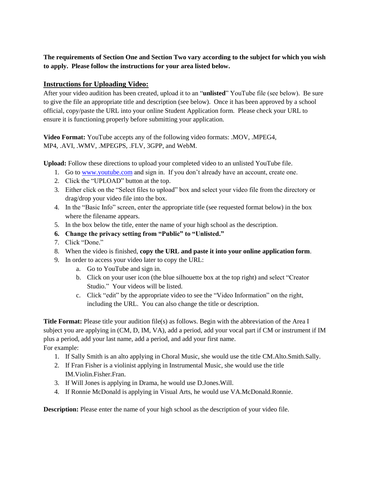**The requirements of Section One and Section Two vary according to the subject for which you wish to apply. Please follow the instructions for your area listed below.**

#### **Instructions for Uploading Video:**

After your video audition has been created, upload it to an "**unlisted**" YouTube file (see below). Be sure to give the file an appropriate title and description (see below). Once it has been approved by a school official, copy/paste the URL into your online Student Application form. Please check your URL to ensure it is functioning properly before submitting your application.

**Video Format:** YouTube accepts any of the following video formats: .MOV, .MPEG4, MP4, .AVI, .WMV, .MPEGPS, .FLV, 3GPP, and WebM.

**Upload:** Follow these directions to upload your completed video to an unlisted YouTube file.

- 1. Go to [www.youtube.com](http://www.youtube.com/) and sign in. If you don't already have an account, create one.
- 2. Click the "UPLOAD" button at the top.
- 3. Either click on the "Select files to upload" box and select your video file from the directory or drag/drop your video file into the box.
- 4. In the "Basic Info" screen, enter the appropriate title (see requested format below) in the box where the filename appears.
- 5. In the box below the title, enter the name of your high school as the description.
- **6. Change the privacy setting from "Public" to "Unlisted."**
- 7. Click "Done."
- 8. When the video is finished, **copy the URL and paste it into your online application form**.
- 9. In order to access your video later to copy the URL:
	- a. Go to YouTube and sign in.
	- b. Click on your user icon (the blue silhouette box at the top right) and select "Creator Studio." Your videos will be listed.
	- c. Click "edit" by the appropriate video to see the "Video Information" on the right, including the URL. You can also change the title or description.

**Title Format:** Please title your audition file(s) as follows. Begin with the abbreviation of the Area I subject you are applying in (CM, D, IM, VA), add a period, add your vocal part if CM or instrument if IM plus a period, add your last name, add a period, and add your first name. For example:

- 1. If Sally Smith is an alto applying in Choral Music, she would use the title CM.Alto.Smith.Sally.
- 2. If Fran Fisher is a violinist applying in Instrumental Music, she would use the title IM.Violin.Fisher.Fran.
- 3. If Will Jones is applying in Drama, he would use D.Jones.Will.
- 4. If Ronnie McDonald is applying in Visual Arts, he would use VA.McDonald.Ronnie.

**Description:** Please enter the name of your high school as the description of your video file.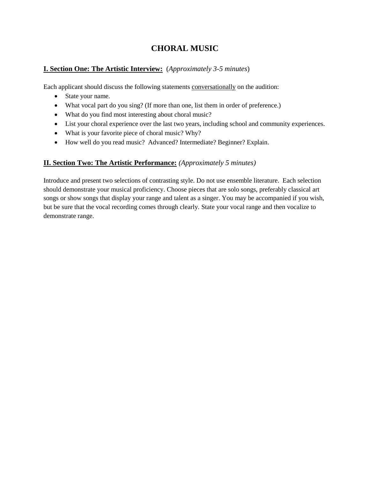# **CHORAL MUSIC**

### **I. Section One: The Artistic Interview:** (*Approximately 3-5 minutes*)

Each applicant should discuss the following statements conversationally on the audition:

- State your name.
- What vocal part do you sing? (If more than one, list them in order of preference.)
- What do you find most interesting about choral music?
- List your choral experience over the last two years, including school and community experiences.
- What is your favorite piece of choral music? Why?
- How well do you read music? Advanced? Intermediate? Beginner? Explain.

### **II. Section Two: The Artistic Performance:** *(Approximately 5 minutes)*

Introduce and present two selections of contrasting style. Do not use ensemble literature. Each selection should demonstrate your musical proficiency. Choose pieces that are solo songs, preferably classical art songs or show songs that display your range and talent as a singer. You may be accompanied if you wish, but be sure that the vocal recording comes through clearly. State your vocal range and then vocalize to demonstrate range.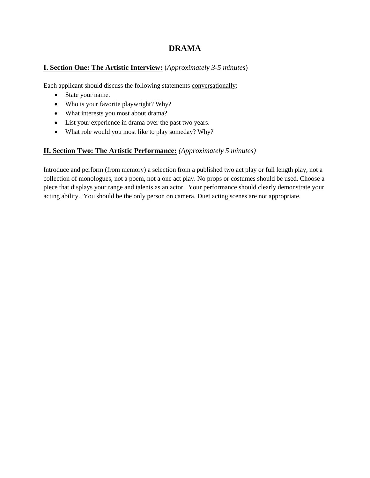### **DRAMA**

### **I. Section One: The Artistic Interview:** (*Approximately 3-5 minutes*)

Each applicant should discuss the following statements conversationally:

- State your name.
- Who is your favorite playwright? Why?
- What interests you most about drama?
- List your experience in drama over the past two years.
- What role would you most like to play someday? Why?

### **II. Section Two: The Artistic Performance:** *(Approximately 5 minutes)*

Introduce and perform (from memory) a selection from a published two act play or full length play, not a collection of monologues, not a poem, not a one act play. No props or costumes should be used. Choose a piece that displays your range and talents as an actor. Your performance should clearly demonstrate your acting ability. You should be the only person on camera. Duet acting scenes are not appropriate.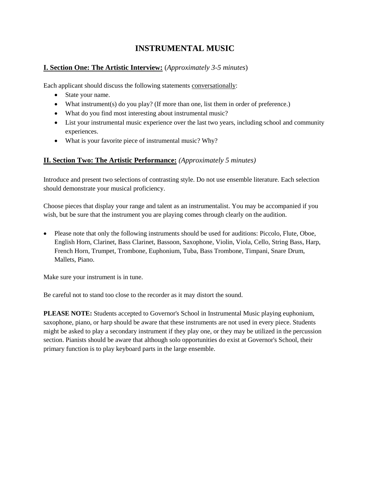# **INSTRUMENTAL MUSIC**

### **I. Section One: The Artistic Interview:** (*Approximately 3-5 minutes*)

Each applicant should discuss the following statements conversationally:

- State your name.
- What instrument(s) do you play? (If more than one, list them in order of preference.)
- What do you find most interesting about instrumental music?
- List your instrumental music experience over the last two years, including school and community experiences.
- What is your favorite piece of instrumental music? Why?

### **II. Section Two: The Artistic Performance:** *(Approximately 5 minutes)*

Introduce and present two selections of contrasting style. Do not use ensemble literature. Each selection should demonstrate your musical proficiency.

Choose pieces that display your range and talent as an instrumentalist. You may be accompanied if you wish, but be sure that the instrument you are playing comes through clearly on the audition.

 Please note that only the following instruments should be used for auditions: Piccolo, Flute, Oboe, English Horn, Clarinet, Bass Clarinet, Bassoon, Saxophone, Violin, Viola, Cello, String Bass, Harp, French Horn, Trumpet, Trombone, Euphonium, Tuba, Bass Trombone, Timpani, Snare Drum, Mallets, Piano.

Make sure your instrument is in tune.

Be careful not to stand too close to the recorder as it may distort the sound.

**PLEASE NOTE:** Students accepted to Governor's School in Instrumental Music playing euphonium, saxophone, piano, or harp should be aware that these instruments are not used in every piece. Students might be asked to play a secondary instrument if they play one, or they may be utilized in the percussion section. Pianists should be aware that although solo opportunities do exist at Governor's School, their primary function is to play keyboard parts in the large ensemble.